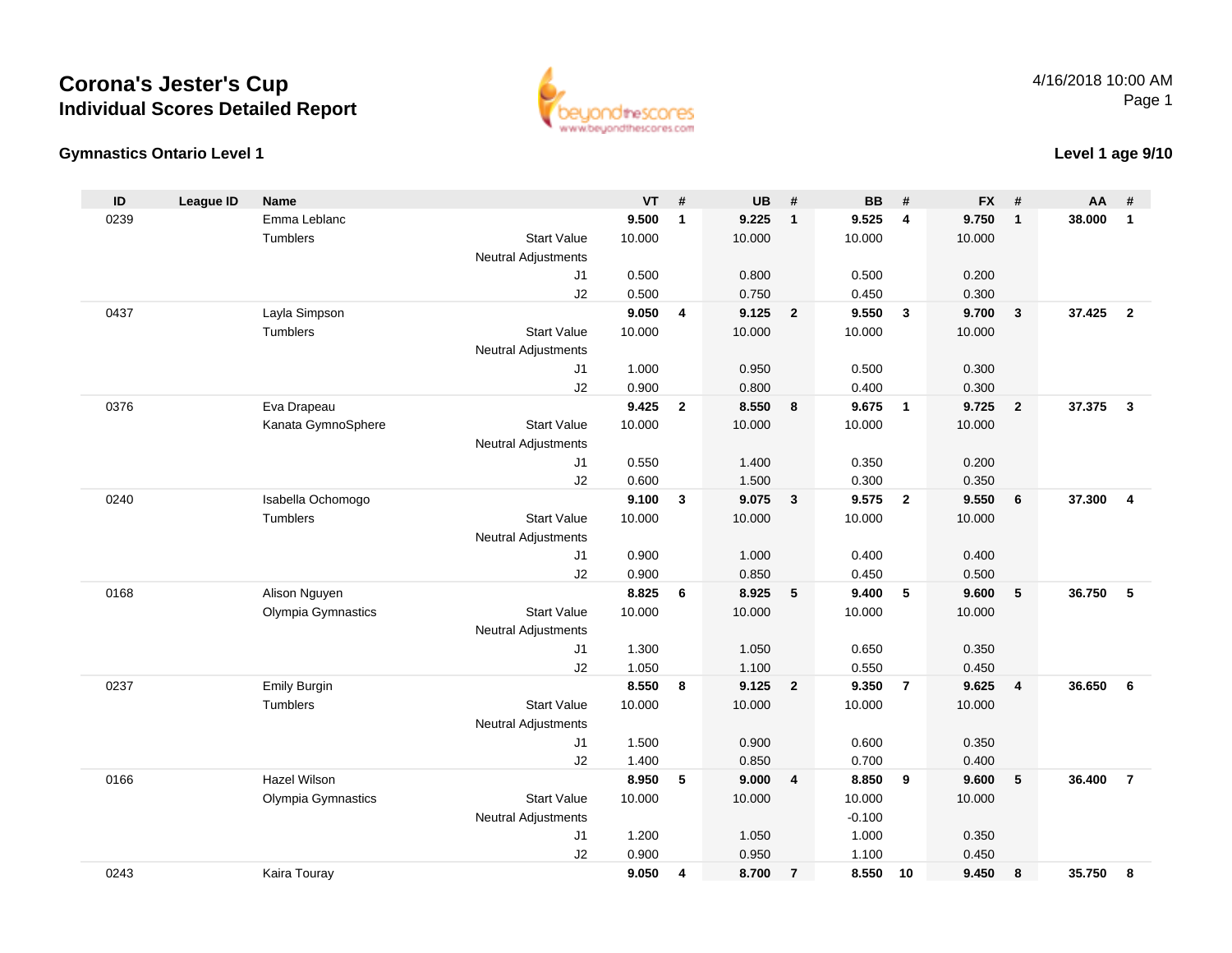## **Corona's Jester's CupIndividual Scores Detailed Report**





### **Level 1 age 9/10**

| ID   | <b>League ID</b> | <b>Name</b>         |                            | <b>VT</b> | #            | <b>UB</b>      | #              | <b>BB</b>      | #              | <b>FX</b>      | #              | AA     | #              |
|------|------------------|---------------------|----------------------------|-----------|--------------|----------------|----------------|----------------|----------------|----------------|----------------|--------|----------------|
| 0239 |                  | Emma Leblanc        |                            | 9.500     | $\mathbf{1}$ | 9.225          | $\mathbf{1}$   | 9.525          | $\overline{4}$ | 9.750          | $\mathbf{1}$   | 38.000 | $\mathbf{1}$   |
|      |                  | <b>Tumblers</b>     | <b>Start Value</b>         | 10.000    |              | 10.000         |                | 10.000         |                | 10.000         |                |        |                |
|      |                  |                     | <b>Neutral Adjustments</b> |           |              |                |                |                |                |                |                |        |                |
|      |                  |                     | J1                         | 0.500     |              | 0.800          |                | 0.500          |                | 0.200          |                |        |                |
|      |                  |                     | J2                         | 0.500     |              | 0.750          |                | 0.450          |                | 0.300          |                |        |                |
| 0437 |                  | Layla Simpson       |                            | 9.050     | 4            | 9.125          | $\overline{2}$ | 9.550          | $\overline{3}$ | 9.700          | $\mathbf{3}$   | 37.425 | $\overline{2}$ |
|      |                  | Tumblers            | <b>Start Value</b>         | 10.000    |              | 10.000         |                | 10.000         |                | 10.000         |                |        |                |
|      |                  |                     | Neutral Adjustments        |           |              |                |                |                |                |                |                |        |                |
|      |                  |                     | J1                         | 1.000     |              | 0.950          |                | 0.500          |                | 0.300          |                |        |                |
|      |                  |                     | J2                         | 0.900     |              | 0.800          |                | 0.400          |                | 0.300          |                |        |                |
| 0376 |                  | Eva Drapeau         |                            | 9.425     | $\mathbf{2}$ | 8.550          | 8              | 9.675          | $\overline{1}$ | 9.725          | $\overline{2}$ | 37.375 | $\mathbf{3}$   |
|      |                  | Kanata GymnoSphere  | <b>Start Value</b>         | 10.000    |              | 10.000         |                | 10.000         |                | 10.000         |                |        |                |
|      |                  |                     | <b>Neutral Adjustments</b> |           |              |                |                |                |                |                |                |        |                |
|      |                  |                     | J1                         | 0.550     |              | 1.400          |                | 0.350          |                | 0.200          |                |        |                |
|      |                  |                     | J2                         | 0.600     |              | 1.500          |                | 0.300          |                | 0.350          |                |        |                |
| 0240 |                  | Isabella Ochomogo   |                            | 9.100     | 3            | 9.075          | $\mathbf{3}$   | 9.575          | $\overline{2}$ | 9.550          | 6              | 37.300 | $\overline{4}$ |
|      |                  | Tumblers            | <b>Start Value</b>         | 10.000    |              | 10.000         |                | 10.000         |                | 10.000         |                |        |                |
|      |                  |                     | <b>Neutral Adjustments</b> |           |              |                |                |                |                |                |                |        |                |
|      |                  |                     | J1                         | 0.900     |              | 1.000          |                | 0.400          |                | 0.400          |                |        |                |
|      |                  |                     | J2                         | 0.900     |              | 0.850          |                | 0.450          |                | 0.500          |                |        |                |
| 0168 |                  | Alison Nguyen       |                            | 8.825     | 6            | 8.925          | 5              | 9.400          | 5              | 9.600          | 5              | 36.750 | 5              |
|      |                  | Olympia Gymnastics  | <b>Start Value</b>         | 10.000    |              | 10.000         |                | 10.000         |                | 10.000         |                |        |                |
|      |                  |                     | Neutral Adjustments        |           |              |                |                |                |                |                |                |        |                |
|      |                  |                     | J1                         | 1.300     |              | 1.050          |                | 0.650          |                | 0.350          |                |        |                |
|      |                  |                     | J2                         | 1.050     |              | 1.100          |                | 0.550          |                | 0.450          |                |        |                |
| 0237 |                  | <b>Emily Burgin</b> |                            | 8.550     | 8            | 9.125          | $\overline{2}$ | 9.350          | $\overline{7}$ | 9.625          | $\overline{4}$ | 36.650 | 6              |
|      |                  | Tumblers            | <b>Start Value</b>         | 10.000    |              | 10.000         |                | 10.000         |                | 10.000         |                |        |                |
|      |                  |                     | <b>Neutral Adjustments</b> |           |              |                |                |                |                |                |                |        |                |
|      |                  |                     | J1                         | 1.500     |              | 0.900          |                | 0.600          |                | 0.350          |                |        |                |
|      |                  |                     | J2                         | 1.400     |              | 0.850          |                | 0.700          |                | 0.400          |                |        |                |
| 0166 |                  | Hazel Wilson        |                            | 8.950     | 5            | 9.000          | 4              | 8.850          | 9              | 9.600          | 5              | 36.400 | $\overline{7}$ |
|      |                  | Olympia Gymnastics  | <b>Start Value</b>         | 10.000    |              | 10.000         |                | 10.000         |                | 10.000         |                |        |                |
|      |                  |                     | <b>Neutral Adjustments</b> | 1.200     |              |                |                | $-0.100$       |                |                |                |        |                |
|      |                  |                     | J1                         | 0.900     |              | 1.050          |                | 1.000          |                | 0.350          |                |        |                |
| 0243 |                  |                     | J2                         | 9.050     |              | 0.950<br>8.700 |                | 1.100<br>8.550 | 10             | 0.450<br>9.450 |                | 35.750 |                |
|      |                  | Kaira Touray        |                            |           | 4            |                | $\overline{7}$ |                |                |                | 8              |        | 8              |